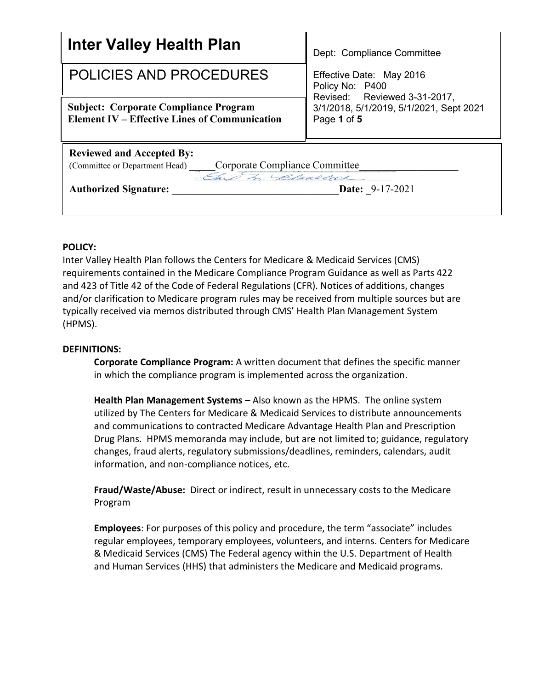| <b>Inter Valley Health Plan</b>                                                                                                                             | Dept: Compliance Committee                                                             |  |
|-------------------------------------------------------------------------------------------------------------------------------------------------------------|----------------------------------------------------------------------------------------|--|
| <b>POLICIES AND PROCEDURES</b>                                                                                                                              | Effective Date: May 2016<br>Policy No: P400                                            |  |
| <b>Subject: Corporate Compliance Program</b><br><b>Element IV – Effective Lines of Communication</b>                                                        | Revised: Reviewed 3-31-2017,<br>3/1/2018, 5/1/2019, 5/1/2021, Sept 2021<br>Page 1 of 5 |  |
| <b>Reviewed and Accepted By:</b><br>(Committee or Department Head) Corporate Compliance Committee<br><b>Date:</b> 9-17-2021<br><b>Authorized Signature:</b> |                                                                                        |  |

## **POLICY:**

Inter Valley Health Plan follows the Centers for Medicare & Medicaid Services (CMS) requirements contained in the Medicare Compliance Program Guidance as well as Parts 422 and 423 of Title 42 of the Code of Federal Regulations (CFR). Notices of additions, changes and/or clarification to Medicare program rules may be received from multiple sources but are typically received via memos distributed through CMS' Health Plan Management System (HPMS).

#### **DEFINITIONS:**

**Corporate Compliance Program:** A written document that defines the specific manner in which the compliance program is implemented across the organization.

**Health Plan Management Systems –** Also known as the HPMS. The online system utilized by The Centers for Medicare & Medicaid Services to distribute announcements and communications to contracted Medicare Advantage Health Plan and Prescription Drug Plans. HPMS memoranda may include, but are not limited to; guidance, regulatory changes, fraud alerts, regulatory submissions/deadlines, reminders, calendars, audit information, and non-compliance notices, etc.

**Fraud/Waste/Abuse:** Direct or indirect, result in unnecessary costs to the Medicare Program

**Employees**: For purposes of this policy and procedure, the term "associate" includes regular employees, temporary employees, volunteers, and interns. Centers for Medicare & Medicaid Services (CMS) The Federal agency within the U.S. Department of Health and Human Services (HHS) that administers the Medicare and Medicaid programs.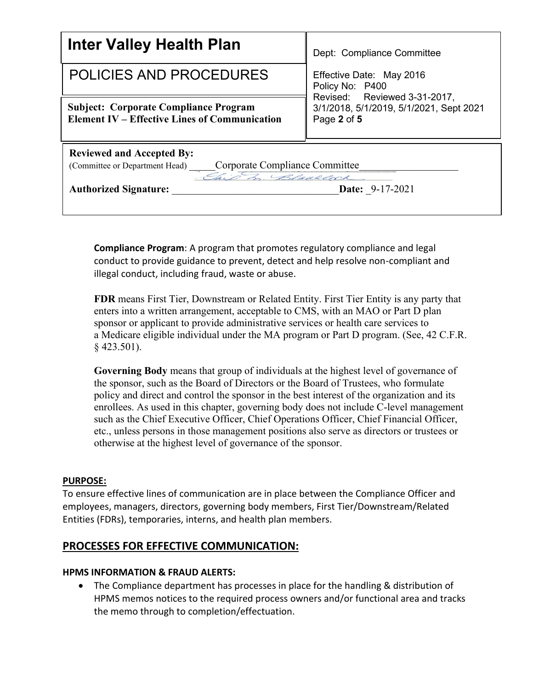| <b>Inter Valley Health Plan</b>                                                                      | Dept: Compliance Committee                                                             |  |
|------------------------------------------------------------------------------------------------------|----------------------------------------------------------------------------------------|--|
| POLICIES AND PROCEDURES                                                                              | Effective Date: May 2016<br>Policy No: P400                                            |  |
| <b>Subject: Corporate Compliance Program</b><br><b>Element IV – Effective Lines of Communication</b> | Revised: Reviewed 3-31-2017,<br>3/1/2018, 5/1/2019, 5/1/2021, Sept 2021<br>Page 2 of 5 |  |
| <b>Reviewed and Accepted By:</b>                                                                     |                                                                                        |  |
| Corporate Compliance Committee<br>(Committee or Department Head)                                     |                                                                                        |  |
| Ship m. Blackcock                                                                                    |                                                                                        |  |
| <b>Authorized Signature:</b>                                                                         | <b>Date: 9-17-2021</b>                                                                 |  |
|                                                                                                      |                                                                                        |  |

**Compliance Program**: A program that promotes regulatory compliance and legal conduct to provide guidance to prevent, detect and help resolve non-compliant and illegal conduct, including fraud, waste or abuse.

**FDR** means First Tier, Downstream or Related Entity. First Tier Entity is any party that enters into a written arrangement, acceptable to CMS, with an MAO or Part D plan sponsor or applicant to provide administrative services or health care services to a Medicare eligible individual under the MA program or Part D program. (See, 42 C.F.R. § 423.501).

**Governing Body** means that group of individuals at the highest level of governance of the sponsor, such as the Board of Directors or the Board of Trustees, who formulate policy and direct and control the sponsor in the best interest of the organization and its enrollees. As used in this chapter, governing body does not include C-level management such as the Chief Executive Officer, Chief Operations Officer, Chief Financial Officer, etc., unless persons in those management positions also serve as directors or trustees or otherwise at the highest level of governance of the sponsor.

## **PURPOSE:**

To ensure effective lines of communication are in place between the Compliance Officer and employees, managers, directors, governing body members, First Tier/Downstream/Related Entities (FDRs), temporaries, interns, and health plan members.

## **PROCESSES FOR EFFECTIVE COMMUNICATION:**

#### **HPMS INFORMATION & FRAUD ALERTS:**

• The Compliance department has processes in place for the handling & distribution of HPMS memos notices to the required process owners and/or functional area and tracks the memo through to completion/effectuation.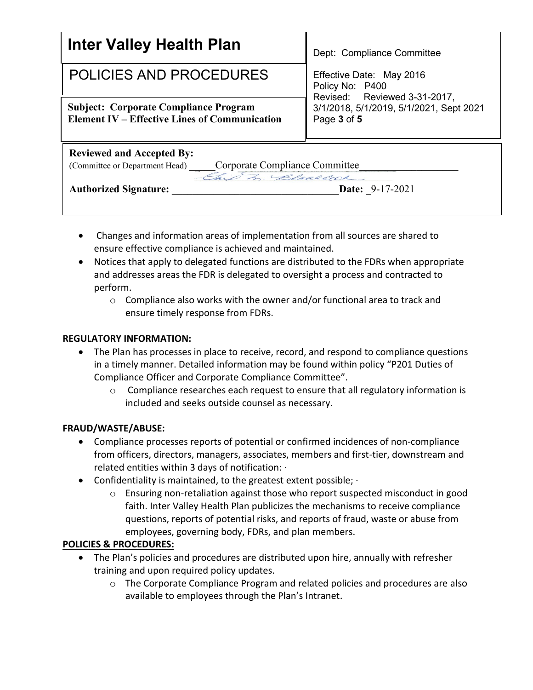| <b>Inter Valley Health Plan</b>                                                                      | Dept: Compliance Committee                                                             |  |
|------------------------------------------------------------------------------------------------------|----------------------------------------------------------------------------------------|--|
| <b>POLICIES AND PROCEDURES</b>                                                                       | Effective Date: May 2016<br>Policy No: P400                                            |  |
| <b>Subject: Corporate Compliance Program</b><br><b>Element IV – Effective Lines of Communication</b> | Revised: Reviewed 3-31-2017,<br>3/1/2018, 5/1/2019, 5/1/2021, Sept 2021<br>Page 3 of 5 |  |
| <b>Reviewed and Accepted By:</b>                                                                     |                                                                                        |  |
| Corporate Compliance Committee<br>(Committee or Department Head)                                     |                                                                                        |  |
| This m. Blacklock                                                                                    |                                                                                        |  |
| <b>Authorized Signature:</b>                                                                         | <b>Date:</b> 9-17-2021                                                                 |  |
|                                                                                                      |                                                                                        |  |

- Changes and information areas of implementation from all sources are shared to ensure effective compliance is achieved and maintained.
- Notices that apply to delegated functions are distributed to the FDRs when appropriate and addresses areas the FDR is delegated to oversight a process and contracted to perform.
	- $\circ$  Compliance also works with the owner and/or functional area to track and ensure timely response from FDRs.

## **REGULATORY INFORMATION:**

- The Plan has processes in place to receive, record, and respond to compliance questions in a timely manner. Detailed information may be found within policy "P201 Duties of Compliance Officer and Corporate Compliance Committee".
	- $\circ$  Compliance researches each request to ensure that all regulatory information is included and seeks outside counsel as necessary.

## **FRAUD/WASTE/ABUSE:**

- Compliance processes reports of potential or confirmed incidences of non-compliance from officers, directors, managers, associates, members and first-tier, downstream and related entities within 3 days of notification: ·
- Confidentiality is maintained, to the greatest extent possible;
	- o Ensuring non-retaliation against those who report suspected misconduct in good faith. Inter Valley Health Plan publicizes the mechanisms to receive compliance questions, reports of potential risks, and reports of fraud, waste or abuse from employees, governing body, FDRs, and plan members.

# **POLICIES & PROCEDURES:**

- The Plan's policies and procedures are distributed upon hire, annually with refresher training and upon required policy updates.
	- o The Corporate Compliance Program and related policies and procedures are also available to employees through the Plan's Intranet.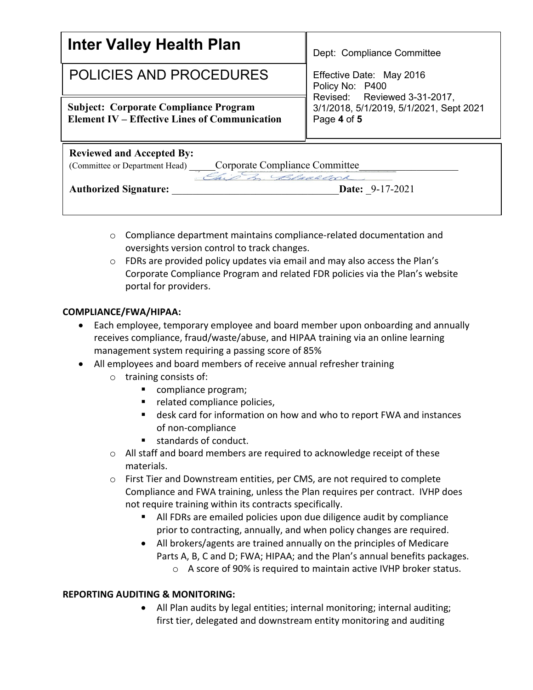| Inter Valley Health Plan                                                                             | Dept: Compliance Committee                                                             |  |
|------------------------------------------------------------------------------------------------------|----------------------------------------------------------------------------------------|--|
| <b>POLICIES AND PROCEDURES</b>                                                                       | Effective Date: May 2016<br>Policy No: P400                                            |  |
| <b>Subject: Corporate Compliance Program</b><br><b>Element IV – Effective Lines of Communication</b> | Revised: Reviewed 3-31-2017,<br>3/1/2018, 5/1/2019, 5/1/2021, Sept 2021<br>Page 4 of 5 |  |
| <b>Reviewed and Accepted By:</b>                                                                     |                                                                                        |  |
| Corporate Compliance Committee<br>(Committee or Department Head)                                     |                                                                                        |  |
| This In. Blackcock                                                                                   |                                                                                        |  |
| <b>Authorized Signature:</b>                                                                         | <b>Date: 9-17-2021</b>                                                                 |  |
|                                                                                                      |                                                                                        |  |

- $\circ$  Compliance department maintains compliance-related documentation and oversights version control to track changes.
- $\circ$  FDRs are provided policy updates via email and may also access the Plan's Corporate Compliance Program and related FDR policies via the Plan's website portal for providers.

## **COMPLIANCE/FWA/HIPAA:**

- Each employee, temporary employee and board member upon onboarding and annually receives compliance, fraud/waste/abuse, and HIPAA training via an online learning management system requiring a passing score of 85%
- All employees and board members of receive annual refresher training
	- o training consists of:
		- compliance program;
		- related compliance policies,
		- desk card for information on how and who to report FWA and instances of non-compliance
		- standards of conduct.
	- $\circ$  All staff and board members are required to acknowledge receipt of these materials.
	- o First Tier and Downstream entities, per CMS, are not required to complete Compliance and FWA training, unless the Plan requires per contract. IVHP does not require training within its contracts specifically.
		- All FDRs are emailed policies upon due diligence audit by compliance prior to contracting, annually, and when policy changes are required.
		- All brokers/agents are trained annually on the principles of Medicare Parts A, B, C and D; FWA; HIPAA; and the Plan's annual benefits packages.
			- o A score of 90% is required to maintain active IVHP broker status.

## **REPORTING AUDITING & MONITORING:**

• All Plan audits by legal entities; internal monitoring; internal auditing; first tier, delegated and downstream entity monitoring and auditing